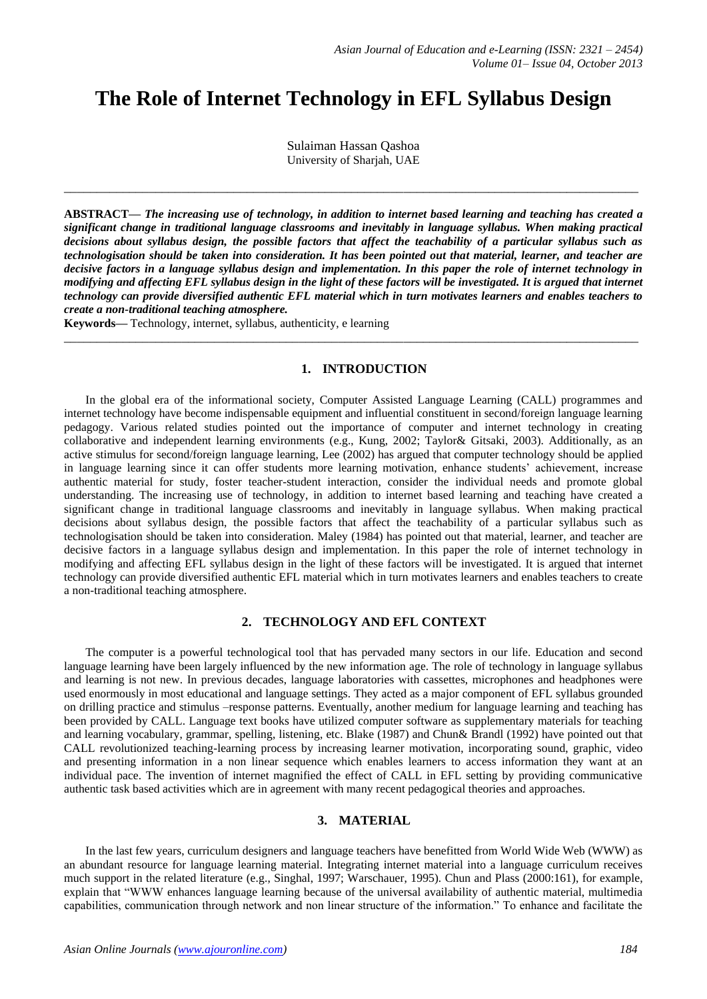# **The Role of Internet Technology in EFL Syllabus Design**

Sulaiman Hassan Qashoa University of Sharjah, UAE

**\_\_\_\_\_\_\_\_\_\_\_\_\_\_\_\_\_\_\_\_\_\_\_\_\_\_\_\_\_\_\_\_\_\_\_\_\_\_\_\_\_\_\_\_\_\_\_\_\_\_\_\_\_\_\_\_\_\_\_\_\_\_\_\_\_\_\_\_\_\_\_\_\_\_\_\_\_\_\_\_\_\_\_\_\_\_\_\_**

**ABSTRACT—** *The increasing use of technology, in addition to internet based learning and teaching has created a significant change in traditional language classrooms and inevitably in language syllabus. When making practical decisions about syllabus design, the possible factors that affect the teachability of a particular syllabus such as technologisation should be taken into consideration. It has been pointed out that material, learner, and teacher are decisive factors in a language syllabus design and implementation. In this paper the role of internet technology in modifying and affecting EFL syllabus design in the light of these factors will be investigated. It is argued that internet technology can provide diversified authentic EFL material which in turn motivates learners and enables teachers to create a non-traditional teaching atmosphere.*

**\_\_\_\_\_\_\_\_\_\_\_\_\_\_\_\_\_\_\_\_\_\_\_\_\_\_\_\_\_\_\_\_\_\_\_\_\_\_\_\_\_\_\_\_\_\_\_\_\_\_\_\_\_\_\_\_\_\_\_\_\_\_\_\_\_\_\_\_\_\_\_\_\_\_\_\_\_\_\_\_\_\_\_\_\_\_\_\_**

**Keywords—** Technology, internet, syllabus, authenticity, e learning

#### **1. INTRODUCTION**

In the global era of the informational society, Computer Assisted Language Learning (CALL) programmes and internet technology have become indispensable equipment and influential constituent in second/foreign language learning pedagogy. Various related studies pointed out the importance of computer and internet technology in creating collaborative and independent learning environments (e.g., Kung, 2002; Taylor& Gitsaki, 2003). Additionally, as an active stimulus for second/foreign language learning, Lee (2002) has argued that computer technology should be applied in language learning since it can offer students more learning motivation, enhance students' achievement, increase authentic material for study, foster teacher-student interaction, consider the individual needs and promote global understanding. The increasing use of technology, in addition to internet based learning and teaching have created a significant change in traditional language classrooms and inevitably in language syllabus. When making practical decisions about syllabus design, the possible factors that affect the teachability of a particular syllabus such as technologisation should be taken into consideration. Maley (1984) has pointed out that material, learner, and teacher are decisive factors in a language syllabus design and implementation. In this paper the role of internet technology in modifying and affecting EFL syllabus design in the light of these factors will be investigated. It is argued that internet technology can provide diversified authentic EFL material which in turn motivates learners and enables teachers to create a non-traditional teaching atmosphere.

# **2. TECHNOLOGY AND EFL CONTEXT**

The computer is a powerful technological tool that has pervaded many sectors in our life. Education and second language learning have been largely influenced by the new information age. The role of technology in language syllabus and learning is not new. In previous decades, language laboratories with cassettes, microphones and headphones were used enormously in most educational and language settings. They acted as a major component of EFL syllabus grounded on drilling practice and stimulus –response patterns. Eventually, another medium for language learning and teaching has been provided by CALL. Language text books have utilized computer software as supplementary materials for teaching and learning vocabulary, grammar, spelling, listening, etc. Blake (1987) and Chun& Brandl (1992) have pointed out that CALL revolutionized teaching-learning process by increasing learner motivation, incorporating sound, graphic, video and presenting information in a non linear sequence which enables learners to access information they want at an individual pace. The invention of internet magnified the effect of CALL in EFL setting by providing communicative authentic task based activities which are in agreement with many recent pedagogical theories and approaches.

#### **3. MATERIAL**

In the last few years, curriculum designers and language teachers have benefitted from World Wide Web (WWW) as an abundant resource for language learning material. Integrating internet material into a language curriculum receives much support in the related literature (e.g., Singhal, 1997; Warschauer, 1995). Chun and Plass (2000:161), for example, explain that "WWW enhances language learning because of the universal availability of authentic material, multimedia capabilities, communication through network and non linear structure of the information." To enhance and facilitate the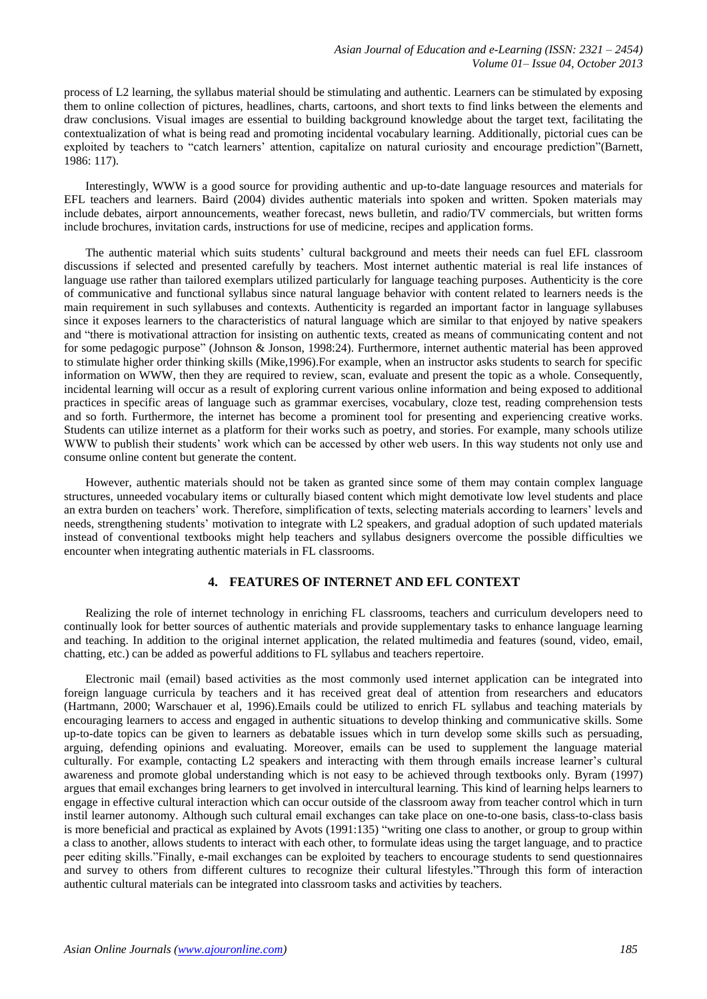process of L2 learning, the syllabus material should be stimulating and authentic. Learners can be stimulated by exposing them to online collection of pictures, headlines, charts, cartoons, and short texts to find links between the elements and draw conclusions. Visual images are essential to building background knowledge about the target text, facilitating the contextualization of what is being read and promoting incidental vocabulary learning. Additionally, pictorial cues can be exploited by teachers to "catch learners' attention, capitalize on natural curiosity and encourage prediction"(Barnett, 1986: 117).

Interestingly, WWW is a good source for providing authentic and up-to-date language resources and materials for EFL teachers and learners. Baird (2004) divides authentic materials into spoken and written. Spoken materials may include debates, airport announcements, weather forecast, news bulletin, and radio/TV commercials, but written forms include brochures, invitation cards, instructions for use of medicine, recipes and application forms.

The authentic material which suits students' cultural background and meets their needs can fuel EFL classroom discussions if selected and presented carefully by teachers. Most internet authentic material is real life instances of language use rather than tailored exemplars utilized particularly for language teaching purposes. Authenticity is the core of communicative and functional syllabus since natural language behavior with content related to learners needs is the main requirement in such syllabuses and contexts. Authenticity is regarded an important factor in language syllabuses since it exposes learners to the characteristics of natural language which are similar to that enjoyed by native speakers and "there is motivational attraction for insisting on authentic texts, created as means of communicating content and not for some pedagogic purpose" (Johnson & Jonson, 1998:24). Furthermore, internet authentic material has been approved to stimulate higher order thinking skills (Mike,1996).For example, when an instructor asks students to search for specific information on WWW, then they are required to review, scan, evaluate and present the topic as a whole. Consequently, incidental learning will occur as a result of exploring current various online information and being exposed to additional practices in specific areas of language such as grammar exercises, vocabulary, cloze test, reading comprehension tests and so forth. Furthermore, the internet has become a prominent tool for presenting and experiencing creative works. Students can utilize internet as a platform for their works such as poetry, and stories. For example, many schools utilize WWW to publish their students' work which can be accessed by other web users. In this way students not only use and consume online content but generate the content.

However, authentic materials should not be taken as granted since some of them may contain complex language structures, unneeded vocabulary items or culturally biased content which might demotivate low level students and place an extra burden on teachers' work. Therefore, simplification of texts, selecting materials according to learners' levels and needs, strengthening students' motivation to integrate with L2 speakers, and gradual adoption of such updated materials instead of conventional textbooks might help teachers and syllabus designers overcome the possible difficulties we encounter when integrating authentic materials in FL classrooms.

# **4. FEATURES OF INTERNET AND EFL CONTEXT**

Realizing the role of internet technology in enriching FL classrooms, teachers and curriculum developers need to continually look for better sources of authentic materials and provide supplementary tasks to enhance language learning and teaching. In addition to the original internet application, the related multimedia and features (sound, video, email, chatting, etc.) can be added as powerful additions to FL syllabus and teachers repertoire.

Electronic mail (email) based activities as the most commonly used internet application can be integrated into foreign language curricula by teachers and it has received great deal of attention from researchers and educators (Hartmann, 2000; Warschauer et al, 1996).Emails could be utilized to enrich FL syllabus and teaching materials by encouraging learners to access and engaged in authentic situations to develop thinking and communicative skills. Some up-to-date topics can be given to learners as debatable issues which in turn develop some skills such as persuading, arguing, defending opinions and evaluating. Moreover, emails can be used to supplement the language material culturally. For example, contacting L2 speakers and interacting with them through emails increase learner's cultural awareness and promote global understanding which is not easy to be achieved through textbooks only. Byram (1997) argues that email exchanges bring learners to get involved in intercultural learning. This kind of learning helps learners to engage in effective cultural interaction which can occur outside of the classroom away from teacher control which in turn instil learner autonomy. Although such cultural email exchanges can take place on one-to-one basis, class-to-class basis is more beneficial and practical as explained by Avots (1991:135) "writing one class to another, or group to group within a class to another, allows students to interact with each other, to formulate ideas using the target language, and to practice peer editing skills."Finally, e-mail exchanges can be exploited by teachers to encourage students to send questionnaires and survey to others from different cultures to recognize their cultural lifestyles."Through this form of interaction authentic cultural materials can be integrated into classroom tasks and activities by teachers.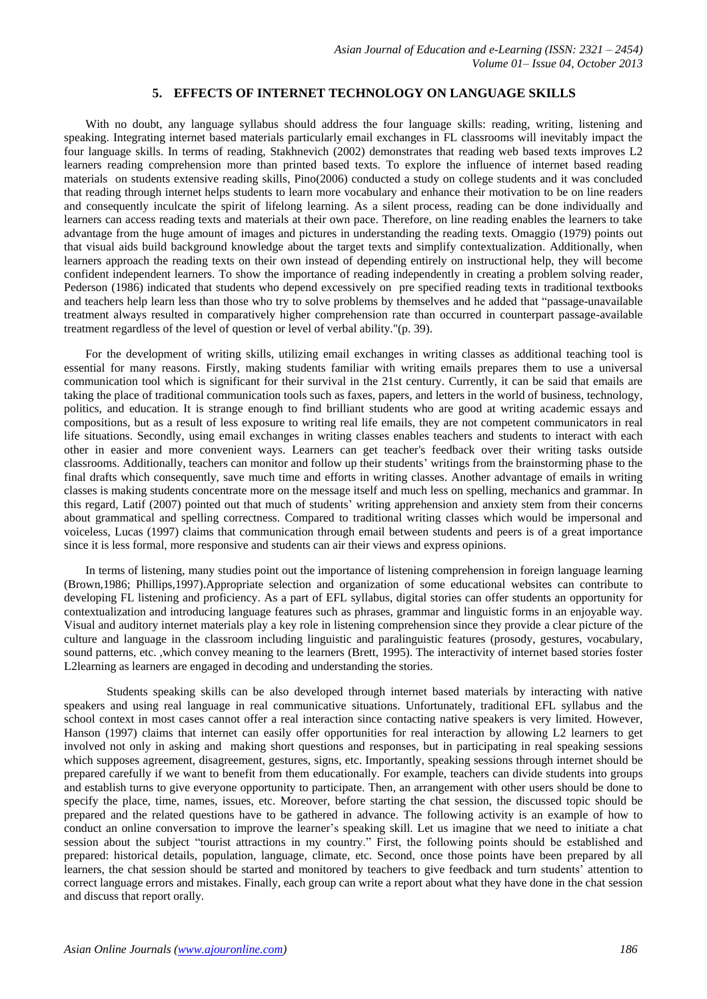#### **5. EFFECTS OF INTERNET TECHNOLOGY ON LANGUAGE SKILLS**

With no doubt, any language syllabus should address the four language skills: reading, writing, listening and speaking. Integrating internet based materials particularly email exchanges in FL classrooms will inevitably impact the four language skills. In terms of reading, Stakhnevich (2002) demonstrates that reading web based texts improves L2 learners reading comprehension more than printed based texts. To explore the influence of internet based reading materials on students extensive reading skills, Pino(2006) conducted a study on college students and it was concluded that reading through internet helps students to learn more vocabulary and enhance their motivation to be on line readers and consequently inculcate the spirit of lifelong learning. As a silent process, reading can be done individually and learners can access reading texts and materials at their own pace. Therefore, on line reading enables the learners to take advantage from the huge amount of images and pictures in understanding the reading texts. Omaggio (1979) points out that visual aids build background knowledge about the target texts and simplify contextualization. Additionally, when learners approach the reading texts on their own instead of depending entirely on instructional help, they will become confident independent learners. To show the importance of reading independently in creating a problem solving reader, Pederson (1986) indicated that students who depend excessively on pre specified reading texts in traditional textbooks and teachers help learn less than those who try to solve problems by themselves and he added that "passage-unavailable treatment always resulted in comparatively higher comprehension rate than occurred in counterpart passage-available treatment regardless of the level of question or level of verbal ability."(p. 39).

For the development of writing skills, utilizing email exchanges in writing classes as additional teaching tool is essential for many reasons. Firstly, making students familiar with writing emails prepares them to use a universal communication tool which is significant for their survival in the 21st century. Currently, it can be said that emails are taking the place of traditional communication tools such as faxes, papers, and letters in the world of business, technology, politics, and education. It is strange enough to find brilliant students who are good at writing academic essays and compositions, but as a result of less exposure to writing real life emails, they are not competent communicators in real life situations. Secondly, using email exchanges in writing classes enables teachers and students to interact with each other in easier and more convenient ways. Learners can get teacher's feedback over their writing tasks outside classrooms. Additionally, teachers can monitor and follow up their students' writings from the brainstorming phase to the final drafts which consequently, save much time and efforts in writing classes. Another advantage of emails in writing classes is making students concentrate more on the message itself and much less on spelling, mechanics and grammar. In this regard, Latif (2007) pointed out that much of students' writing apprehension and anxiety stem from their concerns about grammatical and spelling correctness. Compared to traditional writing classes which would be impersonal and voiceless, Lucas (1997) claims that communication through email between students and peers is of a great importance since it is less formal, more responsive and students can air their views and express opinions.

In terms of listening, many studies point out the importance of listening comprehension in foreign language learning (Brown,1986; Phillips,1997).Appropriate selection and organization of some educational websites can contribute to developing FL listening and proficiency. As a part of EFL syllabus, digital stories can offer students an opportunity for contextualization and introducing language features such as phrases, grammar and linguistic forms in an enjoyable way. Visual and auditory internet materials play a key role in listening comprehension since they provide a clear picture of the culture and language in the classroom including linguistic and paralinguistic features (prosody, gestures, vocabulary, sound patterns, etc. ,which convey meaning to the learners (Brett, 1995). The interactivity of internet based stories foster L2learning as learners are engaged in decoding and understanding the stories.

Students speaking skills can be also developed through internet based materials by interacting with native speakers and using real language in real communicative situations. Unfortunately, traditional EFL syllabus and the school context in most cases cannot offer a real interaction since contacting native speakers is very limited. However, Hanson (1997) claims that internet can easily offer opportunities for real interaction by allowing L2 learners to get involved not only in asking and making short questions and responses, but in participating in real speaking sessions which supposes agreement, disagreement, gestures, signs, etc. Importantly, speaking sessions through internet should be prepared carefully if we want to benefit from them educationally. For example, teachers can divide students into groups and establish turns to give everyone opportunity to participate. Then, an arrangement with other users should be done to specify the place, time, names, issues, etc. Moreover, before starting the chat session, the discussed topic should be prepared and the related questions have to be gathered in advance. The following activity is an example of how to conduct an online conversation to improve the learner's speaking skill. Let us imagine that we need to initiate a chat session about the subject "tourist attractions in my country." First, the following points should be established and prepared: historical details, population, language, climate, etc. Second, once those points have been prepared by all learners, the chat session should be started and monitored by teachers to give feedback and turn students' attention to correct language errors and mistakes. Finally, each group can write a report about what they have done in the chat session and discuss that report orally.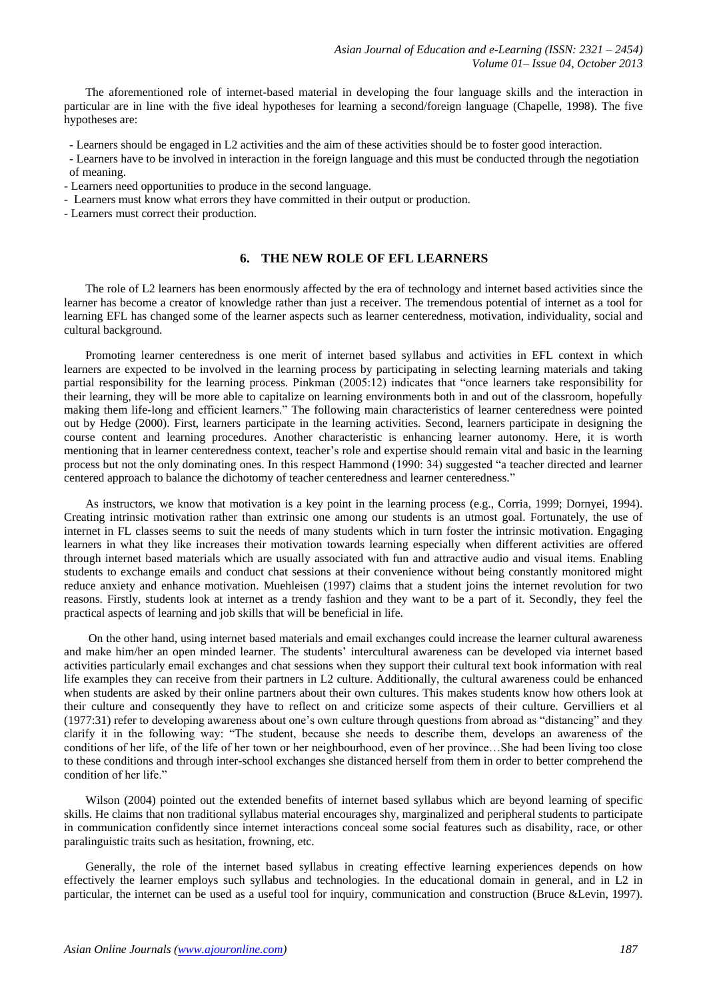The aforementioned role of internet-based material in developing the four language skills and the interaction in particular are in line with the five ideal hypotheses for learning a second/foreign language (Chapelle, 1998). The five hypotheses are:

- Learners should be engaged in L2 activities and the aim of these activities should be to foster good interaction.

- Learners have to be involved in interaction in the foreign language and this must be conducted through the negotiation of meaning.
- Learners need opportunities to produce in the second language.
- Learners must know what errors they have committed in their output or production.
- Learners must correct their production.

## **6. THE NEW ROLE OF EFL LEARNERS**

The role of L2 learners has been enormously affected by the era of technology and internet based activities since the learner has become a creator of knowledge rather than just a receiver. The tremendous potential of internet as a tool for learning EFL has changed some of the learner aspects such as learner centeredness, motivation, individuality, social and cultural background.

Promoting learner centeredness is one merit of internet based syllabus and activities in EFL context in which learners are expected to be involved in the learning process by participating in selecting learning materials and taking partial responsibility for the learning process. Pinkman (2005:12) indicates that "once learners take responsibility for their learning, they will be more able to capitalize on learning environments both in and out of the classroom, hopefully making them life-long and efficient learners." The following main characteristics of learner centeredness were pointed out by Hedge (2000). First, learners participate in the learning activities. Second, learners participate in designing the course content and learning procedures. Another characteristic is enhancing learner autonomy. Here, it is worth mentioning that in learner centeredness context, teacher's role and expertise should remain vital and basic in the learning process but not the only dominating ones. In this respect Hammond (1990: 34) suggested "a teacher directed and learner centered approach to balance the dichotomy of teacher centeredness and learner centeredness."

As instructors, we know that motivation is a key point in the learning process (e.g., Corria, 1999; Dornyei, 1994). Creating intrinsic motivation rather than extrinsic one among our students is an utmost goal. Fortunately, the use of internet in FL classes seems to suit the needs of many students which in turn foster the intrinsic motivation. Engaging learners in what they like increases their motivation towards learning especially when different activities are offered through internet based materials which are usually associated with fun and attractive audio and visual items. Enabling students to exchange emails and conduct chat sessions at their convenience without being constantly monitored might reduce anxiety and enhance motivation. Muehleisen (1997) claims that a student joins the internet revolution for two reasons. Firstly, students look at internet as a trendy fashion and they want to be a part of it. Secondly, they feel the practical aspects of learning and job skills that will be beneficial in life.

On the other hand, using internet based materials and email exchanges could increase the learner cultural awareness and make him/her an open minded learner. The students' intercultural awareness can be developed via internet based activities particularly email exchanges and chat sessions when they support their cultural text book information with real life examples they can receive from their partners in L2 culture. Additionally, the cultural awareness could be enhanced when students are asked by their online partners about their own cultures. This makes students know how others look at their culture and consequently they have to reflect on and criticize some aspects of their culture. Gervilliers et al (1977:31) refer to developing awareness about one's own culture through questions from abroad as "distancing" and they clarify it in the following way: "The student, because she needs to describe them, develops an awareness of the conditions of her life, of the life of her town or her neighbourhood, even of her province…She had been living too close to these conditions and through inter-school exchanges she distanced herself from them in order to better comprehend the condition of her life."

Wilson (2004) pointed out the extended benefits of internet based syllabus which are beyond learning of specific skills. He claims that non traditional syllabus material encourages shy, marginalized and peripheral students to participate in communication confidently since internet interactions conceal some social features such as disability, race, or other paralinguistic traits such as hesitation, frowning, etc.

Generally, the role of the internet based syllabus in creating effective learning experiences depends on how effectively the learner employs such syllabus and technologies. In the educational domain in general, and in L2 in particular, the internet can be used as a useful tool for inquiry, communication and construction (Bruce &Levin, 1997).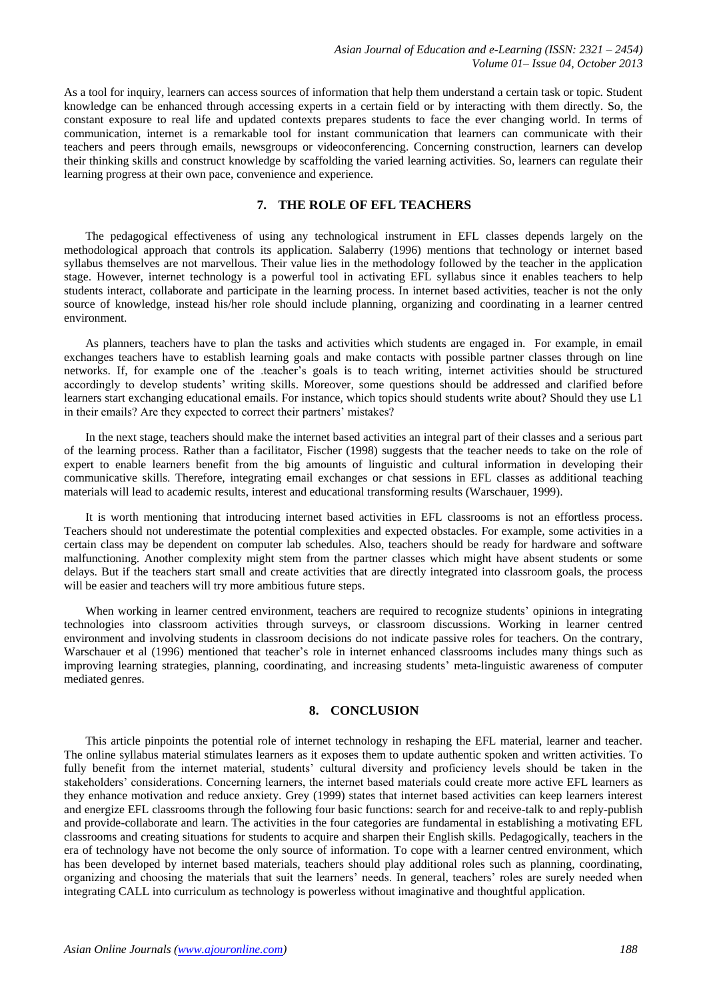As a tool for inquiry, learners can access sources of information that help them understand a certain task or topic. Student knowledge can be enhanced through accessing experts in a certain field or by interacting with them directly. So, the constant exposure to real life and updated contexts prepares students to face the ever changing world. In terms of communication, internet is a remarkable tool for instant communication that learners can communicate with their teachers and peers through emails, newsgroups or videoconferencing. Concerning construction, learners can develop their thinking skills and construct knowledge by scaffolding the varied learning activities. So, learners can regulate their learning progress at their own pace, convenience and experience.

# **7. THE ROLE OF EFL TEACHERS**

The pedagogical effectiveness of using any technological instrument in EFL classes depends largely on the methodological approach that controls its application. Salaberry (1996) mentions that technology or internet based syllabus themselves are not marvellous. Their value lies in the methodology followed by the teacher in the application stage. However, internet technology is a powerful tool in activating EFL syllabus since it enables teachers to help students interact, collaborate and participate in the learning process. In internet based activities, teacher is not the only source of knowledge, instead his/her role should include planning, organizing and coordinating in a learner centred environment.

As planners, teachers have to plan the tasks and activities which students are engaged in. For example, in email exchanges teachers have to establish learning goals and make contacts with possible partner classes through on line networks. If, for example one of the .teacher's goals is to teach writing, internet activities should be structured accordingly to develop students' writing skills. Moreover, some questions should be addressed and clarified before learners start exchanging educational emails. For instance, which topics should students write about? Should they use L1 in their emails? Are they expected to correct their partners' mistakes?

In the next stage, teachers should make the internet based activities an integral part of their classes and a serious part of the learning process. Rather than a facilitator, Fischer (1998) suggests that the teacher needs to take on the role of expert to enable learners benefit from the big amounts of linguistic and cultural information in developing their communicative skills. Therefore, integrating email exchanges or chat sessions in EFL classes as additional teaching materials will lead to academic results, interest and educational transforming results (Warschauer, 1999).

It is worth mentioning that introducing internet based activities in EFL classrooms is not an effortless process. Teachers should not underestimate the potential complexities and expected obstacles. For example, some activities in a certain class may be dependent on computer lab schedules. Also, teachers should be ready for hardware and software malfunctioning. Another complexity might stem from the partner classes which might have absent students or some delays. But if the teachers start small and create activities that are directly integrated into classroom goals, the process will be easier and teachers will try more ambitious future steps.

When working in learner centred environment, teachers are required to recognize students' opinions in integrating technologies into classroom activities through surveys, or classroom discussions. Working in learner centred environment and involving students in classroom decisions do not indicate passive roles for teachers. On the contrary, Warschauer et al (1996) mentioned that teacher's role in internet enhanced classrooms includes many things such as improving learning strategies, planning, coordinating, and increasing students' meta-linguistic awareness of computer mediated genres.

### **8. CONCLUSION**

This article pinpoints the potential role of internet technology in reshaping the EFL material, learner and teacher. The online syllabus material stimulates learners as it exposes them to update authentic spoken and written activities. To fully benefit from the internet material, students' cultural diversity and proficiency levels should be taken in the stakeholders' considerations. Concerning learners, the internet based materials could create more active EFL learners as they enhance motivation and reduce anxiety. Grey (1999) states that internet based activities can keep learners interest and energize EFL classrooms through the following four basic functions: search for and receive-talk to and reply-publish and provide-collaborate and learn. The activities in the four categories are fundamental in establishing a motivating EFL classrooms and creating situations for students to acquire and sharpen their English skills. Pedagogically, teachers in the era of technology have not become the only source of information. To cope with a learner centred environment, which has been developed by internet based materials, teachers should play additional roles such as planning, coordinating, organizing and choosing the materials that suit the learners' needs. In general, teachers' roles are surely needed when integrating CALL into curriculum as technology is powerless without imaginative and thoughtful application.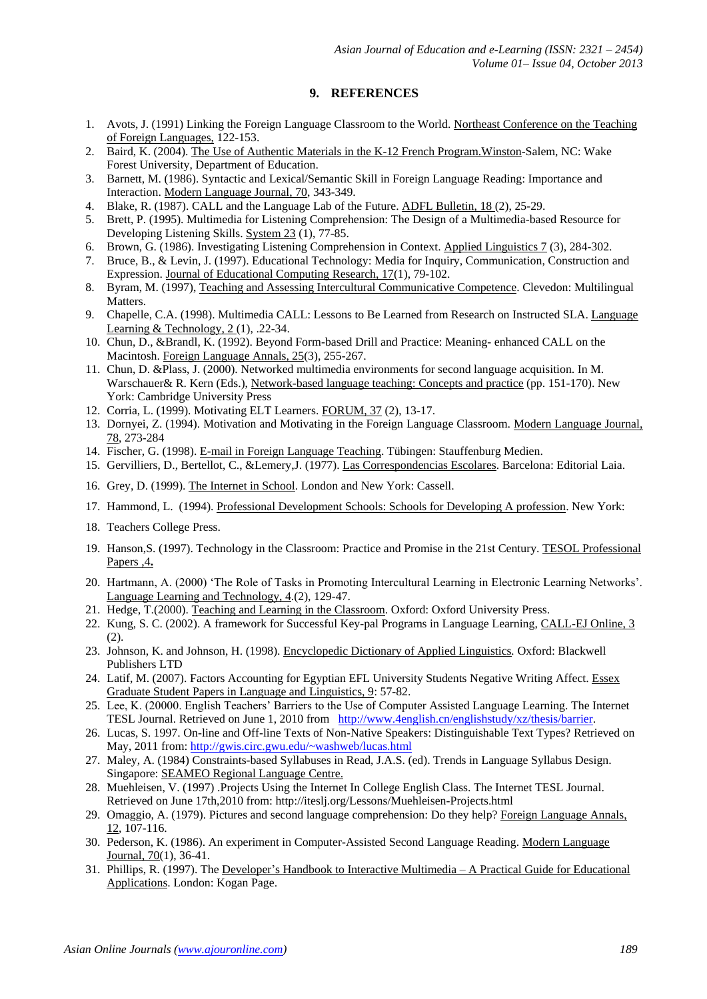# **9. REFERENCES**

- 1. Avots, J. (1991) Linking the Foreign Language Classroom to the World. Northeast Conference on the Teaching of Foreign Languages, 122-153.
- 2. Baird, K. (2004). The Use of Authentic Materials in the K-12 French Program.Winston-Salem, NC: Wake Forest University, Department of Education.
- 3. Barnett, M. (1986). Syntactic and Lexical/Semantic Skill in Foreign Language Reading: Importance and Interaction. Modern Language Journal, 70, 343-349.
- 4. Blake, R. (1987). CALL and the Language Lab of the Future. ADFL Bulletin, 18 (2), 25-29.
- 5. Brett, P. (1995). Multimedia for Listening Comprehension: The Design of a Multimedia-based Resource for Developing Listening Skills. System 23 (1), 77-85.
- 6. Brown, G. (1986). Investigating Listening Comprehension in Context. Applied Linguistics 7 (3), 284-302.
- 7. Bruce, B., & Levin, J. (1997). Educational Technology: Media for Inquiry, Communication, Construction and Expression. Journal of Educational Computing Research, 17(1), 79-102.
- 8. Byram, M. (1997), Teaching and Assessing Intercultural Communicative Competence. Clevedon: Multilingual Matters.
- 9. Chapelle, C.A. (1998). Multimedia CALL: Lessons to Be Learned from Research on Instructed SLA. Language Learning & Technology,  $2(1)$ , .22-34.
- 10. Chun, D., &Brandl, K. (1992). Beyond Form-based Drill and Practice: Meaning- enhanced CALL on the Macintosh. Foreign Language Annals, 25(3), 255-267.
- 11. Chun, D. &Plass, J. (2000). Networked multimedia environments for second language acquisition. In M. Warschauer& R. Kern (Eds.), Network-based language teaching: Concepts and practice (pp. 151-170). New York: Cambridge University Press
- 12. Corria, L. (1999). Motivating ELT Learners. FORUM, 37 (2), 13-17.
- 13. Dornyei, Z. (1994). Motivation and Motivating in the Foreign Language Classroom. Modern Language Journal, 78, 273-284
- 14. Fischer, G. (1998). E-mail in Foreign Language Teaching. Tübingen: Stauffenburg Medien.
- 15. Gervilliers, D., Bertellot, C., &Lemery,J. (1977). Las Correspondencias Escolares. Barcelona: Editorial Laia.
- 16. Grey, D. (1999). The Internet in School. London and New York: Cassell.
- 17. Hammond, L. (1994). Professional Development Schools: Schools for Developing A profession. New York:
- 18. Teachers College Press.
- 19. Hanson,S. (1997). Technology in the Classroom: Practice and Promise in the 21st Century. TESOL Professional Papers ,4**.**
- 20. Hartmann, A. (2000) 'The Role of Tasks in Promoting Intercultural Learning in Electronic Learning Networks'. Language Learning and Technology, 4.(2), 129-47.
- 21. Hedge, T.(2000). Teaching and Learning in the Classroom. Oxford: Oxford University Press.
- 22. Kung, S. C. (2002). A framework for Successful Key-pal Programs in Language Learning, CALL-EJ Online, 3 (2).
- 23. Johnson, K. and Johnson, H. (1998). Encyclopedic Dictionary of Applied Linguistics*.* Oxford: Blackwell Publishers LTD
- 24. Latif, M. (2007). Factors Accounting for Egyptian EFL University Students Negative Writing Affect. Essex Graduate Student Papers in Language and Linguistics, 9: 57-82.
- 25. Lee, K. (20000. English Teachers' Barriers to the Use of Computer Assisted Language Learning. The Internet TESL Journal. Retrieved on June 1, 2010 from [http://www.4english.cn/englishstudy/xz/thesis/barrier.](http://www.4english.cn/englishstudy/xz/thesis/barrier)
- 26. Lucas, S. 1997. On-line and Off-line Texts of Non-Native Speakers: Distinguishable Text Types? Retrieved on May, 2011 from[: http://gwis.circ.gwu.edu/~washweb/lucas.html](http://gwis.circ.gwu.edu/~washweb/lucas.html)
- 27. Maley, A. (1984) Constraints-based Syllabuses in Read, J.A.S. (ed). Trends in Language Syllabus Design. Singapore: SEAMEO Regional Language Centre.
- 28. Muehleisen, V. (1997) .Projects Using the Internet In College English Class. The Internet TESL Journal. Retrieved on June 17th,2010 from:<http://iteslj.org/Lessons/Muehleisen-Projects.html>
- 29. Omaggio, A. (1979). Pictures and second language comprehension: Do they help? Foreign Language Annals, 12*,* 107-116.
- 30. Pederson, K. (1986). An experiment in Computer-Assisted Second Language Reading. Modern Language Journal, 70(1), 36-41.
- 31. Phillips, R. (1997). The Developer's Handbook to Interactive Multimedia A Practical Guide for Educational Applications. London: Kogan Page.